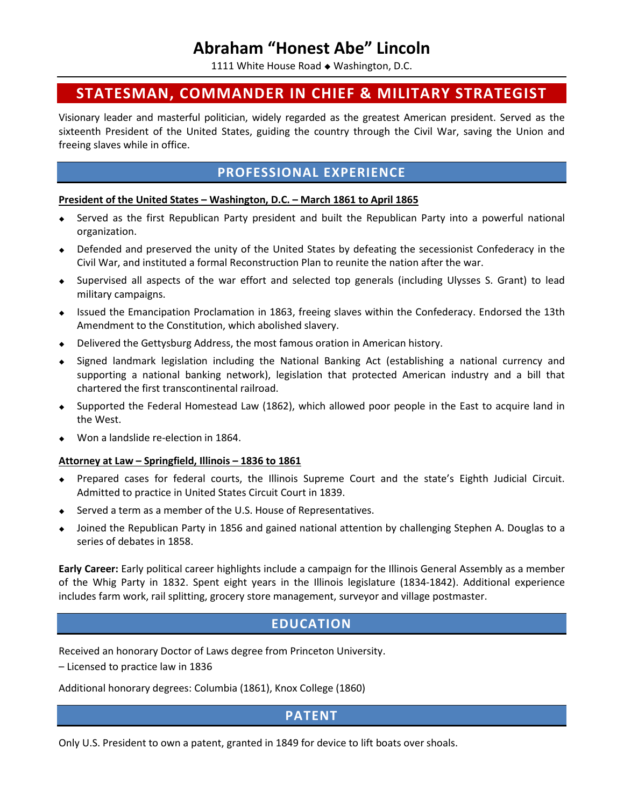# **Abraham "Honest Abe" Lincoln**

1111 White House Road • Washington, D.C.

# **STATESMAN, COMMANDER IN CHIEF & MILITARY STRATEGIST**

Visionary leader and masterful politician, widely regarded as the greatest American president. Served as the sixteenth President of the United States, guiding the country through the Civil War, saving the Union and freeing slaves while in office.

## **PROFESSIONAL EXPERIENCE**

### **President of the United States – Washington, D.C. – March 1861 to April 1865**

- Served as the first Republican Party president and built the Republican Party into a powerful national organization.
- Defended and preserved the unity of the United States by defeating the secessionist Confederacy in the Civil War, and instituted a formal Reconstruction Plan to reunite the nation after the war.
- Supervised all aspects of the war effort and selected top generals (including Ulysses S. Grant) to lead military campaigns.
- Issued the Emancipation Proclamation in 1863, freeing slaves within the Confederacy. Endorsed the 13th Amendment to the Constitution, which abolished slavery.
- Delivered the Gettysburg Address, the most famous oration in American history.
- Signed landmark legislation including the National Banking Act (establishing a national currency and supporting a national banking network), legislation that protected American industry and a bill that chartered the first transcontinental railroad.
- Supported the Federal Homestead Law (1862), which allowed poor people in the East to acquire land in the West.
- Won a landslide re-election in 1864.

### **Attorney at Law – Springfield, Illinois – 1836 to 1861**

- Prepared cases for federal courts, the Illinois Supreme Court and the state's Eighth Judicial Circuit. Admitted to practice in United States Circuit Court in 1839.
- ◆ Served a term as a member of the U.S. House of Representatives.
- Joined the Republican Party in 1856 and gained national attention by challenging Stephen A. Douglas to a series of debates in 1858.

**Early Career:** Early political career highlights include a campaign for the Illinois General Assembly as a member of the Whig Party in 1832. Spent eight years in the Illinois legislature (1834-1842). Additional experience includes farm work, rail splitting, grocery store management, surveyor and village postmaster.

## **EDUCATION**

Received an honorary Doctor of Laws degree from Princeton University.

– Licensed to practice law in 1836

Additional honorary degrees: Columbia (1861), Knox College (1860)

### **PATENT**

Only U.S. President to own a patent, granted in 1849 for device to lift boats over shoals.